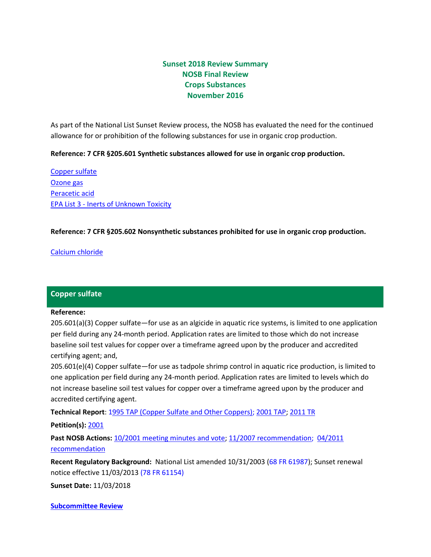# **Sunset 2018 Review Summary NOSB Final Review Crops Substances November 2016**

As part of the National List Sunset Review process, the NOSB has evaluated the need for the continued allowance for or prohibition of the following substances for use in organic crop production.

### **Reference: 7 CFR §205.601 Synthetic substances allowed for use in organic crop production.**

[Copper sulfate](#page-0-0) [Ozone gas](#page-1-0) [Peracetic acid](#page-2-0) EPA List 3 - [Inerts of Unknown Toxicity](#page-3-0)

### **Reference: 7 CFR §205.602 Nonsynthetic substances prohibited for use in organic crop production.**

[Calcium chloride](#page-4-0)

### <span id="page-0-0"></span>**Copper sulfate**

#### **Reference:**

205.601(a)(3) Copper sulfate—for use as an algicide in aquatic rice systems, is limited to one application per field during any 24-month period. Application rates are limited to those which do not increase baseline soil test values for copper over a timeframe agreed upon by the producer and accredited certifying agent; and,

205.601(e)(4) Copper sulfate—for use as tadpole shrimp control in aquatic rice production, is limited to one application per field during any 24-month period. Application rates are limited to levels which do not increase baseline soil test values for copper over a timeframe agreed upon by the producer and accredited certifying agent.

**Technical Report**: [1995 TAP \(Copper Sulfate and Other Coppers\);](http://www.ams.usda.gov/sites/default/files/media/Coppers%20fixed%20TR%201995.pdf) [2001](http://www.ams.usda.gov/sites/default/files/media/Copper%20Sulfate%202%20TR%202011.pdf) TAP; [2011](http://www.ams.usda.gov/sites/default/files/media/Coppers%20fixed%20TR%202011.pdf) TR

#### **Petition(s):** [2001](http://www.ams.usda.gov/sites/default/files/media/Copper%20Sulfate%202%20Petition.pdf)

Past NOSB Actions: 10/2001 [meeting minutes and vote;](https://www.ams.usda.gov/sites/default/files/media/NOSB%20Meeting%20Minutes%26Transcripts%201992-2009.pdf) 11/2007 [recommendation;](http://www.ams.usda.gov/sites/default/files/media/Copper%20Sulfate%202%20Final%20Rec%20Sunset%202013.pdf) [04/2011](http://www.ams.usda.gov/sites/default/files/media/Coppers%20fixed%20Final%20Rec.pdf) [recommendation](http://www.ams.usda.gov/sites/default/files/media/Coppers%20fixed%20Final%20Rec.pdf)

**Recent Regulatory Background:** National List amended 10/31/2003 [\(68 FR 61987\)](http://www.gpo.gov/fdsys/pkg/FR-2003-10-31/pdf/03-27415.pdf); Sunset renewal notice effective 11/03/2013 [\(78 FR 61154\)](http://www.gpo.gov/fdsys/pkg/FR-2013-10-03/pdf/2013-24208.pdf)

**Sunset Date:** 11/03/2018

**[Subcommittee Review](https://www.ams.usda.gov/sites/default/files/media/CS2018SunsetRvwMtg2SubcommReviewNov2016.pdf)**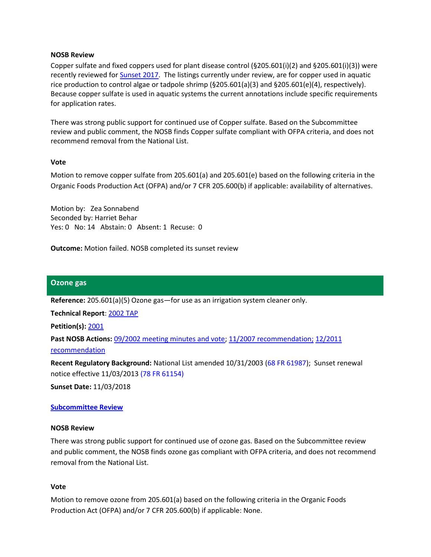#### **NOSB Review**

Copper sulfate and fixed coppers used for plant disease control (§205.601(i)(2) and §205.601(i)(3)) were recently reviewed for [Sunset 2017.](https://www.ams.usda.gov/sites/default/files/media/CS%202017%20Sunset%20Final%20Rvw_final_rec.pdf) The listings currently under review, are for copper used in aquatic rice production to control algae or tadpole shrimp (§205.601(a)(3) and §205.601(e)(4), respectively). Because copper sulfate is used in aquatic systems the current annotations include specific requirements for application rates.

There was strong public support for continued use of Copper sulfate. Based on the Subcommittee review and public comment, the NOSB finds Copper sulfate compliant with OFPA criteria, and does not recommend removal from the National List.

### **Vote**

Motion to remove copper sulfate from 205.601(a) and 205.601(e) based on the following criteria in the Organic Foods Production Act (OFPA) and/or 7 CFR 205.600(b) if applicable: availability of alternatives.

Motion by: Zea Sonnabend Seconded by: Harriet Behar Yes: 0 No: 14 Abstain: 0 Absent: 1 Recuse: 0

**Outcome:** Motion failed. NOSB completed its sunset review

### <span id="page-1-0"></span>**Ozone gas**

**Reference:** 205.601(a)(5) Ozone gas—for use as an irrigation system cleaner only.

**Technical Report**: [2002 TAP](http://www.ams.usda.gov/sites/default/files/media/Oz%20Technical%20Advisory%20Panel%20Report%20%282002%29.pdf)

**Petition(s):** [2001](http://www.ams.usda.gov/sites/default/files/media/Ozone.pdf)

**Past NOSB Actions:** [09/2002 meeting minutes and vote;](https://www.ams.usda.gov/sites/default/files/media/NOSB%20Meeting%20Minutes%26Transcripts%201992-2009.pdf) [11/2007 recommendation;](http://www.ams.usda.gov/sites/default/files/media/NOP%20Final%20Sunset%20Rec%20Ozone%20Gas%20in%20Crops.pdf) [12/2011](http://www.ams.usda.gov/sites/default/files/media/NOP%20Crops%20Final%20Rec%20Sunset%202013%20Ozone.pdf)  [recommendation](http://www.ams.usda.gov/sites/default/files/media/NOP%20Crops%20Final%20Rec%20Sunset%202013%20Ozone.pdf)

**Recent Regulatory Background:** National List amended 10/31/2003 [\(68 FR 61987\)](http://www.gpo.gov/fdsys/pkg/FR-2003-10-31/pdf/03-27415.pdf); Sunset renewal notice effective 11/03/201[3 \(78 FR 61154\)](http://www.gpo.gov/fdsys/pkg/FR-2013-10-03/pdf/2013-24208.pdf)

**Sunset Date:** 11/03/2018

### **[Subcommittee Review](https://www.ams.usda.gov/sites/default/files/media/CS2018SunsetRvwMtg2SubcommReviewNov2016.pdf)**

#### **NOSB Review**

There was strong public support for continued use of ozone gas. Based on the Subcommittee review and public comment, the NOSB finds ozone gas compliant with OFPA criteria, and does not recommend removal from the National List.

#### **Vote**

Motion to remove ozone from 205.601(a) based on the following criteria in the Organic Foods Production Act (OFPA) and/or 7 CFR 205.600(b) if applicable: None.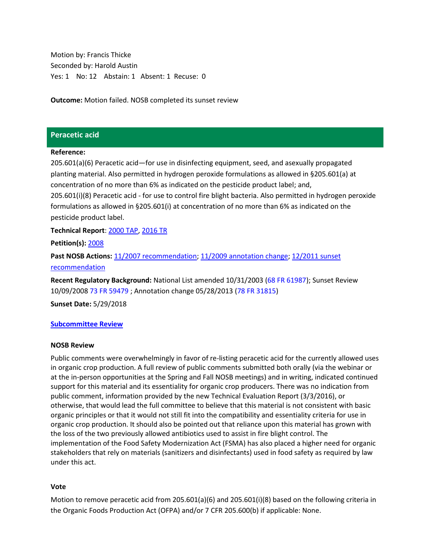Motion by: Francis Thicke Seconded by: Harold Austin Yes: 1 No: 12 Abstain: 1 Absent: 1 Recuse: 0

**Outcome:** Motion failed. NOSB completed its sunset review

## <span id="page-2-0"></span>**Peracetic acid**

### **Reference:**

205.601(a)(6) Peracetic acid—for use in disinfecting equipment, seed, and asexually propagated planting material. Also permitted in hydrogen peroxide formulations as allowed in §205.601(a) at concentration of no more than 6% as indicated on the pesticide product label; and, 205.601(i)(8) Peracetic acid - for use to control fire blight bacteria. Also permitted in hydrogen peroxide formulations as allowed in §205.601(i) at concentration of no more than 6% as indicated on the pesticide product label.

**Technical Report**: [2000](http://www.ams.usda.gov/sites/default/files/media/Peracetic%20Acid%20Technical%20Report%20Crops.pdf) TAP[, 2016 TR](https://www.ams.usda.gov/sites/default/files/media/Peracetic%20Acid%20TR%203_3_2016%20Crops%20Final.pdf)

**Petition(s):** [2008](http://www.ams.usda.gov/sites/default/files/media/Peracetic%20Acid%20Petition.pdf)

**Past NOSB Actions:** [11/2007 recommendation;](http://www.ams.usda.gov/sites/default/files/media/NOP%20Final%20Rec%20Peracetic%20Acid%20for%20Crops.pdf) [11/2009 annotation change;](http://www.ams.usda.gov/sites/default/files/media/NOSB%20Final%20Recommendation%202009.pdf) [12/2011](http://www.ams.usda.gov/sites/default/files/media/NOP%20Crops%20Final%20Rec%20Sunset%202013%20Peracetic%20Acid.pdf) sunset [recommendation](http://www.ams.usda.gov/sites/default/files/media/NOP%20Crops%20Final%20Rec%20Sunset%202013%20Peracetic%20Acid.pdf)

**Recent Regulatory Background:** National List amended 10/31/2003 [\(68 FR 61987\)](http://www.gpo.gov/fdsys/pkg/FR-2003-10-31/pdf/03-27415.pdf); Sunset Review 10/09/2008 [73 FR 59479](http://www.gpo.gov/fdsys/pkg/FR-2008-10-09/pdf/E8-24114.pdf) ; Annotation change 05/28/2013 [\(78 FR 31815\)](http://www.gpo.gov/fdsys/pkg/FR-2013-05-28/pdf/2013-12504.pdf)

**Sunset Date:** 5/29/2018

### **[Subcommittee Review](https://www.ams.usda.gov/sites/default/files/media/CS2018SunsetRvwMtg2SubcommReviewNov2016.pdf)**

#### **NOSB Review**

Public comments were overwhelmingly in favor of re-listing peracetic acid for the currently allowed uses in organic crop production. A full review of public comments submitted both orally (via the webinar or at the in-person opportunities at the Spring and Fall NOSB meetings) and in writing, indicated continued support for this material and its essentiality for organic crop producers. There was no indication from public comment, information provided by the new Technical Evaluation Report (3/3/2016), or otherwise, that would lead the full committee to believe that this material is not consistent with basic organic principles or that it would not still fit into the compatibility and essentiality criteria for use in organic crop production. It should also be pointed out that reliance upon this material has grown with the loss of the two previously allowed antibiotics used to assist in fire blight control. The implementation of the Food Safety Modernization Act (FSMA) has also placed a higher need for organic stakeholders that rely on materials (sanitizers and disinfectants) used in food safety as required by law under this act.

### **Vote**

Motion to remove peracetic acid from 205.601(a)(6) and 205.601(i)(8) based on the following criteria in the Organic Foods Production Act (OFPA) and/or 7 CFR 205.600(b) if applicable: None.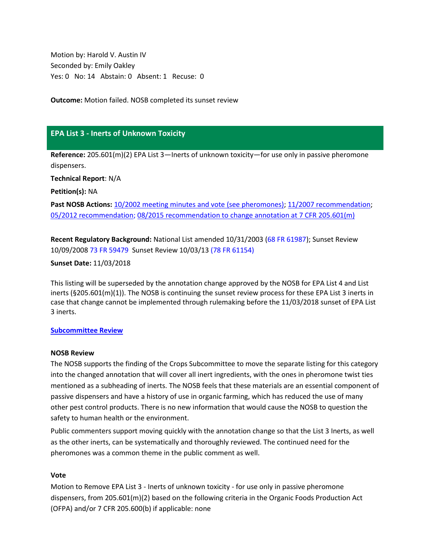Motion by: Harold V. Austin IV Seconded by: Emily Oakley Yes: 0 No: 14 Abstain: 0 Absent: 1 Recuse: 0

**Outcome:** Motion failed. NOSB completed its sunset review

# <span id="page-3-0"></span>**EPA List 3 - Inerts of Unknown Toxicity**

**Reference:** 205.601(m)(2) EPA List 3—Inerts of unknown toxicity—for use only in passive pheromone dispensers.

**Technical Report**: N/A

**Petition(s):** NA

**Past NOSB Actions:** [10/2002 meeting minutes and vote](https://www.ams.usda.gov/sites/default/files/media/NOSB%20Meeting%20Minutes%26Transcripts%201992-2009.pdf) (see pheromones); [11/2007 recommendation;](http://www.ams.usda.gov/sites/default/files/media/NOP%20Final%20Sunset%20Rec%20EPA%20List%203%20Inerts%20in%20Crops.pdf) [05/2012 recommendation; 08/2015 recommendation to change annotation at 7 CFR 205.601\(m\)](http://www.ams.usda.gov/sites/default/files/media/NOP%20Crops%20Final%20Rec%20Sunset%202013.pdf)

**Recent Regulatory Background:** National List amended 10/31/2003 [\(68 FR 61987\)](http://www.gpo.gov/fdsys/pkg/FR-2003-10-31/pdf/03-27415.pdf); Sunset Review 10/09/2008 [73 FR 59479](http://www.gpo.gov/fdsys/pkg/FR-2008-10-09/pdf/E8-24114.pdf) Sunset Review 10/03/13 [\(78 FR 61154\)](http://www.gpo.gov/fdsys/pkg/FR-2013-10-03/pdf/2013-24208.pdf)

### **Sunset Date:** 11/03/2018

This listing will be superseded by the annotation change approved by the NOSB for EPA List 4 and List inerts (§205.601(m)(1)). The NOSB is continuing the sunset review process for these EPA List 3 inerts in case that change cannot be implemented through rulemaking before the 11/03/2018 sunset of EPA List 3 inerts.

### **[Subcommittee Review](https://www.ams.usda.gov/sites/default/files/media/CS2018SunsetRvwMtg2SubcommReviewNov2016.pdf)**

### **NOSB Review**

The NOSB supports the finding of the Crops Subcommittee to move the separate listing for this category into the changed annotation that will cover all inert ingredients, with the ones in pheromone twist ties mentioned as a subheading of inerts. The NOSB feels that these materials are an essential component of passive dispensers and have a history of use in organic farming, which has reduced the use of many other pest control products. There is no new information that would cause the NOSB to question the safety to human health or the environment.

Public commenters support moving quickly with the annotation change so that the List 3 Inerts, as well as the other inerts, can be systematically and thoroughly reviewed. The continued need for the pheromones was a common theme in the public comment as well.

### **Vote**

Motion to Remove EPA List 3 - Inerts of unknown toxicity - for use only in passive pheromone dispensers, from 205.601(m)(2) based on the following criteria in the Organic Foods Production Act (OFPA) and/or 7 CFR 205.600(b) if applicable: none